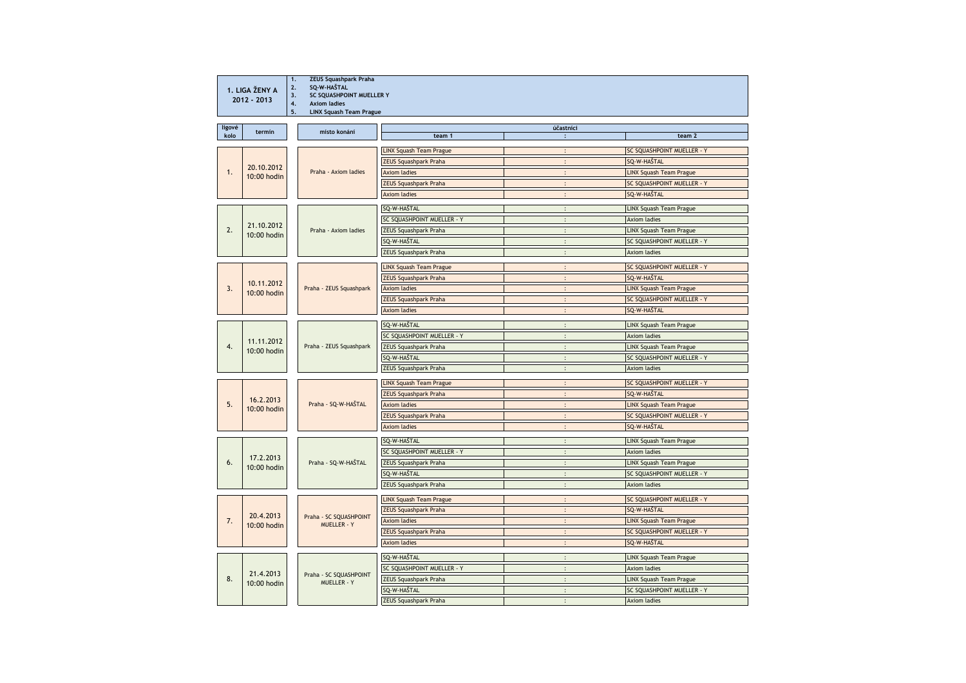| 1. LIGA ŽENY A<br>$2012 - 2013$ |                           | <b>ZEUS Squashpark Praha</b><br>1.<br>SQ-W-HAŠTAL<br>2.<br>SC SQUASHPOINT MUELLER Y<br>3.<br>4.<br><b>Axiom ladies</b><br><b>LINX Squash Team Prague</b><br>5. |                                |                            |                                   |  |  |
|---------------------------------|---------------------------|----------------------------------------------------------------------------------------------------------------------------------------------------------------|--------------------------------|----------------------------|-----------------------------------|--|--|
| ligové<br>kolo                  | termin                    | místo konání                                                                                                                                                   | team 1                         | účastníci                  | team 2                            |  |  |
|                                 | 20.10.2012<br>10:00 hodin |                                                                                                                                                                | <b>LINX Squash Team Prague</b> | $\ddot{\phantom{0}}$       | SC SOUASHPOINT MUELLER - Y        |  |  |
|                                 |                           |                                                                                                                                                                | <b>ZEUS Squashpark Praha</b>   | $\ddot{\cdot}$             | SQ-W-HAŠTAL                       |  |  |
| 1.                              |                           | Praha - Axiom ladies                                                                                                                                           | <b>Axiom ladies</b>            |                            | <b>LINX Squash Team Prague</b>    |  |  |
|                                 |                           |                                                                                                                                                                | ZEUS Squashpark Praha          | $\vdots$                   | SC SQUASHPOINT MUELLER - Y        |  |  |
|                                 |                           |                                                                                                                                                                | <b>Axiom ladies</b>            |                            | SQ-W-HAŠTAL                       |  |  |
|                                 |                           |                                                                                                                                                                | SQ-W-HAŠTAL                    | $\ddot{\cdot}$             | LINX Squash Team Prague           |  |  |
|                                 |                           |                                                                                                                                                                | SC SQUASHPOINT MUELLER - Y     | $\ddot{\cdot}$             | <b>Axiom ladies</b>               |  |  |
| 2.                              | 21.10.2012                | Praha - Axiom ladies                                                                                                                                           | <b>ZEUS Squashpark Praha</b>   | $\ddot{\cdot}$             | <b>LINX Squash Team Prague</b>    |  |  |
|                                 | 10:00 hodin               |                                                                                                                                                                | SQ-W-HAŠTAL                    | $\ddot{\cdot}$             | SC SQUASHPOINT MUELLER - Y        |  |  |
|                                 |                           |                                                                                                                                                                | ZEUS Squashpark Praha          | $\mathbf{r}$               | <b>Axiom ladies</b>               |  |  |
|                                 |                           |                                                                                                                                                                | <b>LINX Squash Team Prague</b> | $\ddot{\cdot}$             | SC SQUASHPOINT MUELLER - Y        |  |  |
|                                 |                           |                                                                                                                                                                | <b>ZEUS Squashpark Praha</b>   |                            | SQ-W-HAŠTAL                       |  |  |
| 3.                              | 10.11.2012                | Praha - ZEUS Squashpark                                                                                                                                        | <b>Axiom ladies</b>            |                            | <b>LINX Squash Team Prague</b>    |  |  |
|                                 | 10:00 hodin               |                                                                                                                                                                | <b>ZEUS Squashpark Praha</b>   | $\bullet$                  | SC SQUASHPOINT MUELLER - Y        |  |  |
|                                 |                           |                                                                                                                                                                | <b>Axiom ladies</b>            | $\ddot{\phantom{0}}$       | SQ-W-HAŠTAL                       |  |  |
|                                 |                           |                                                                                                                                                                | SQ-W-HAŠTAL                    | $\ddot{\cdot}$             | LINX Squash Team Prague           |  |  |
|                                 |                           |                                                                                                                                                                | SC SQUASHPOINT MUELLER - Y     | $\cdot$                    | <b>Axiom ladies</b>               |  |  |
| $\overline{4}$ .                | 11.11.2012                | Praha - ZEUS Squashpark                                                                                                                                        | <b>ZEUS Squashpark Praha</b>   | $\ddot{\phantom{a}}$       | <b>LINX Squash Team Prague</b>    |  |  |
|                                 | 10:00 hodin               |                                                                                                                                                                | SQ-W-HAŠTAL                    | $\bullet$                  | SC SQUASHPOINT MUELLER - Y        |  |  |
|                                 |                           |                                                                                                                                                                | <b>ZEUS Squashpark Praha</b>   |                            | Axiom ladies                      |  |  |
|                                 |                           |                                                                                                                                                                | <b>LINX Squash Team Prague</b> |                            | SC SQUASHPOINT MUELLER - Y        |  |  |
|                                 | 16.2.2013<br>10:00 hodin  | Praha - SQ-W-HAŠTAL                                                                                                                                            | <b>ZEUS Squashpark Praha</b>   |                            | SQ-W-HAŠTAL                       |  |  |
| 5.                              |                           |                                                                                                                                                                | <b>Axiom ladies</b>            | : $\overline{\phantom{a}}$ | <b>LINX Squash Team Prague</b>    |  |  |
|                                 |                           |                                                                                                                                                                | <b>ZEUS Squashpark Praha</b>   | $\ddot{\phantom{a}}$       | <b>SC SQUASHPOINT MUELLER - Y</b> |  |  |
|                                 |                           |                                                                                                                                                                | <b>Axiom ladies</b>            | $\ddot{\cdot}$             | SQ-W-HAŠTAL                       |  |  |
|                                 | 17.2.2013<br>10:00 hodin  |                                                                                                                                                                | SQ-W-HAŠTAL                    | $\ddot{\cdot}$             | <b>LINX Squash Team Prague</b>    |  |  |
|                                 |                           |                                                                                                                                                                | SC SQUASHPOINT MUELLER - Y     | $\ddot{\phantom{a}}$       | <b>Axiom ladies</b>               |  |  |
| 6.                              |                           | Praha - SQ-W-HAŠTAL                                                                                                                                            | <b>ZEUS Squashpark Praha</b>   | $\ddot{\cdot}$             | <b>LINX Squash Team Prague</b>    |  |  |
|                                 |                           |                                                                                                                                                                | SQ-W-HAŠTAL                    | $\cdot$                    | SC SQUASHPOINT MUELLER - Y        |  |  |
|                                 |                           |                                                                                                                                                                | <b>ZEUS Squashpark Praha</b>   | $\ddot{\phantom{a}}$       | <b>Axiom ladies</b>               |  |  |
|                                 | 20.4.2013<br>10:00 hodin  | Praha - SC SQUASHPOINT<br>MUELLER - Y                                                                                                                          | <b>LINX Squash Team Prague</b> |                            | SC SQUASHPOINT MUELLER - Y        |  |  |
|                                 |                           |                                                                                                                                                                | <b>ZEUS Squashpark Praha</b>   |                            | SQ-W-HAŠTAL                       |  |  |
| 7.                              |                           |                                                                                                                                                                | <b>Axiom ladies</b>            | $\ddot{\cdot}$             | <b>LINX Squash Team Prague</b>    |  |  |
|                                 |                           |                                                                                                                                                                | <b>ZEUS Squashpark Praha</b>   | $\bullet$                  | <b>SC SQUASHPOINT MUELLER - Y</b> |  |  |
|                                 |                           |                                                                                                                                                                | <b>Axiom ladies</b>            |                            | SQ-W-HAŠTAL                       |  |  |
| 8.                              | 21.4.2013<br>10:00 hodin  | Praha - SC SQUASHPOINT<br>MUELLER - Y                                                                                                                          | SQ-W-HAŠTAL                    | $\ddot{\phantom{a}}$       | <b>LINX Squash Team Prague</b>    |  |  |
|                                 |                           |                                                                                                                                                                | SC SQUASHPOINT MUELLER - Y     | $\bullet$                  | <b>Axiom ladies</b>               |  |  |
|                                 |                           |                                                                                                                                                                | <b>ZEUS Squashpark Praha</b>   |                            | <b>LINX Squash Team Prague</b>    |  |  |
|                                 |                           |                                                                                                                                                                | SO-W-HAŠTAL                    |                            | SC SOUASHPOINT MUELLER - Y        |  |  |
|                                 |                           |                                                                                                                                                                | <b>ZEUS Squashpark Praha</b>   |                            | <b>Axiom ladies</b>               |  |  |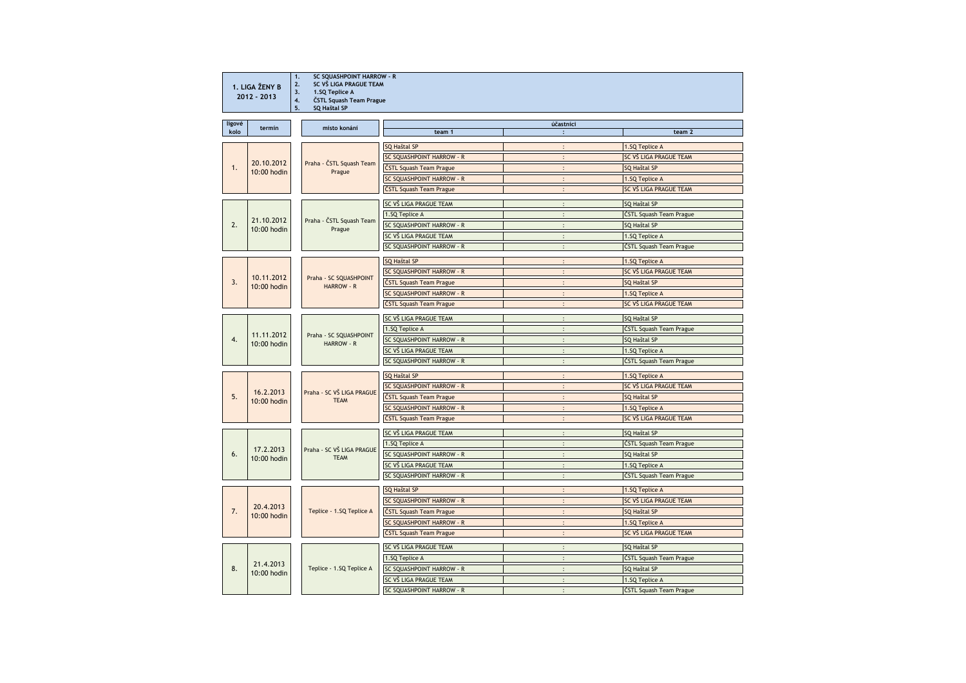| 1. LIGA ŽENY B<br>$2012 - 2013$ |                            | SC SQUASHPOINT HARROW - R<br>1.<br>SC VŠ LIGA PRAGUE TEAM<br>2.<br>1.SQ Teplice A<br>3.<br>ČSTL Squash Team Prague<br>4.<br><b>SQ Haštal SP</b><br>5. |                                  |                      |                         |  |
|---------------------------------|----------------------------|-------------------------------------------------------------------------------------------------------------------------------------------------------|----------------------------------|----------------------|-------------------------|--|
| ligové                          |                            |                                                                                                                                                       |                                  | účastníci            |                         |  |
| kolo                            | termin                     | místo konání                                                                                                                                          | team 1                           | $\mathbf{r}$         | team <sub>2</sub>       |  |
| 1.                              |                            |                                                                                                                                                       | <b>SQ Haštal SP</b>              | $\mathbf{.}$         | 1.SQ Teplice A          |  |
|                                 | 20.10.2012<br>10:00 hodin  | Praha - ČSTL Squash Team<br>Prague                                                                                                                    | SC SQUASHPOINT HARROW - R        | $\ddot{\phantom{0}}$ | SC VŠ LIGA PRAGUE TEAM  |  |
|                                 |                            |                                                                                                                                                       | ČSTL Squash Team Prague          | $\ddot{\cdot}$       | SQ Haštal SP            |  |
|                                 |                            |                                                                                                                                                       | SC SQUASHPOINT HARROW - R        | $\mathbf{.}$         | 1.SQ Teplice A          |  |
|                                 |                            |                                                                                                                                                       | ČSTL Squash Team Prague          | $\ddot{\phantom{1}}$ | SC VŠ LIGA PRAGUE TEAM  |  |
|                                 |                            |                                                                                                                                                       | SC VŠ LIGA PRAGUE TEAM           | $\bullet$            | SQ Haštal SP            |  |
|                                 |                            |                                                                                                                                                       | 1.SQ Teplice A                   |                      | ČSTL Squash Team Prague |  |
| 2.                              | 21.10.2012<br>10:00 hodin  | Praha - ČSTL Squash Team<br>Prague                                                                                                                    | SC SOUASHPOINT HARROW - R        | $\ddot{\phantom{a}}$ | SQ Haštal SP            |  |
|                                 |                            |                                                                                                                                                       | SC VŠ LIGA PRAGUE TEAM           | $\ddot{\cdot}$       | 1.SQ Teplice A          |  |
|                                 |                            |                                                                                                                                                       | SC SQUASHPOINT HARROW - R        | $\ddot{\cdot}$       | ČSTL Squash Team Prague |  |
|                                 |                            |                                                                                                                                                       | <b>SQ Haštal SP</b>              | $\ddot{\cdot}$       | 1.SQ Teplice A          |  |
|                                 |                            |                                                                                                                                                       | SC SQUASHPOINT HARROW - R        | $\ddot{\cdot}$       | SC VŠ LIGA PRAGUE TEAM  |  |
| 3.                              | 10.11.2012                 | Praha - SC SQUASHPOINT                                                                                                                                | ČSTL Squash Team Prague          | $\ddot{\cdot}$       | SQ Haštal SP            |  |
|                                 | $10:00$ hodin              | <b>HARROW - R</b>                                                                                                                                     | SC SQUASHPOINT HARROW - R        |                      | 1.SQ Teplice A          |  |
|                                 |                            |                                                                                                                                                       | ČSTL Squash Team Prague          | $\ddot{\cdot}$       | SC VŠ LIGA PRAGUE TEAM  |  |
|                                 |                            |                                                                                                                                                       | SC VŠ LIGA PRAGUE TEAM           | $\ddot{\cdot}$       | SQ Haštal SP            |  |
|                                 |                            |                                                                                                                                                       | 1.SQ Teplice A                   | $\cdot$              | ČSTL Squash Team Prague |  |
| 4.                              | 11.11.2012                 | Praha - SC SQUASHPOINT<br>HARROW - R                                                                                                                  | SC SQUASHPOINT HARROW - R        | $\mathbf{.}$         | SQ Haštal SP            |  |
|                                 | 10:00 hodin                |                                                                                                                                                       | SC VŠ LIGA PRAGUE TEAM           | $\cdot$              | 1.SQ Teplice A          |  |
|                                 |                            |                                                                                                                                                       | SC SQUASHPOINT HARROW - R        |                      | ČSTL Squash Team Prague |  |
|                                 |                            |                                                                                                                                                       | <b>SQ Haštal SP</b>              | $\ddot{\phantom{0}}$ | 1.SQ Teplice A          |  |
|                                 |                            |                                                                                                                                                       | SC SQUASHPOINT HARROW - R        | $\bullet$            | SC VŠ LIGA PRAGUE TEAM  |  |
| 5.                              | 16.2.2013                  | Praha - SC VŠ LIGA PRAGUE                                                                                                                             | ČSTL Squash Team Prague          |                      | SQ Haštal SP            |  |
|                                 | 10:00 hodin                | <b>TEAM</b>                                                                                                                                           | <b>SC SOUASHPOINT HARROW - R</b> | $\ddot{\phantom{a}}$ | 1.SQ Teplice A          |  |
|                                 |                            |                                                                                                                                                       | ČSTL Squash Team Prague          | $\ddot{\cdot}$       | SC VŠ LIGA PRAGUE TEAM  |  |
|                                 | 17.2.2013<br>10:00 hodin   | Praha - SC VŠ LIGA PRAGUE<br><b>TEAM</b>                                                                                                              | SC VŠ LIGA PRAGUE TEAM           |                      | SQ Haštal SP            |  |
|                                 |                            |                                                                                                                                                       | 1.SQ Teplice A                   |                      | ČSTL Squash Team Prague |  |
| 6.                              |                            |                                                                                                                                                       | SC SQUASHPOINT HARROW - R        | $\colon$             | SQ Haštal SP            |  |
|                                 |                            |                                                                                                                                                       | SC VŠ LIGA PRAGUE TEAM           |                      | 1.SQ Teplice A          |  |
|                                 |                            |                                                                                                                                                       | SC SQUASHPOINT HARROW - R        | $\ddot{\phantom{a}}$ | ČSTL Squash Team Prague |  |
|                                 |                            | Teplice - 1.SQ Teplice A                                                                                                                              | SQ Haštal SP                     | $\ddot{\phantom{a}}$ | 1.SQ Teplice A          |  |
|                                 |                            |                                                                                                                                                       | <b>SC SQUASHPOINT HARROW - R</b> | $\ddot{\cdot}$       | SC VŠ LIGA PRAGUE TEAM  |  |
| 7.                              | 20.4.2013<br>10:00 hodin   |                                                                                                                                                       | ČSTL Squash Team Prague          | $\ddot{\cdot}$       | SQ Haštal SP            |  |
|                                 |                            |                                                                                                                                                       | SC SQUASHPOINT HARROW - R        |                      | 1.SQ Teplice A          |  |
|                                 |                            |                                                                                                                                                       | ČSTL Squash Team Prague          | $\ddot{\cdot}$       | SC VŠ LIGA PRAGUE TEAM  |  |
|                                 | 21.4.2013<br>$10:00$ hodin | Teplice - 1.SQ Teplice A                                                                                                                              | SC VŠ LIGA PRAGUE TEAM           | $\mathbf{.}$         | SQ Haštal SP            |  |
|                                 |                            |                                                                                                                                                       | 1.SQ Teplice A                   |                      | ČSTL Squash Team Prague |  |
| 8.                              |                            |                                                                                                                                                       | SC SQUASHPOINT HARROW - R        | $\cdot$              | SQ Haštal SP            |  |
|                                 |                            |                                                                                                                                                       | SC VŠ LIGA PRAGUE TEAM           | $\bullet$            | 1.SQ Teplice A          |  |
|                                 |                            |                                                                                                                                                       | SC SQUASHPOINT HARROW - R        |                      | ČSTL Squash Team Prague |  |
|                                 |                            |                                                                                                                                                       |                                  |                      |                         |  |